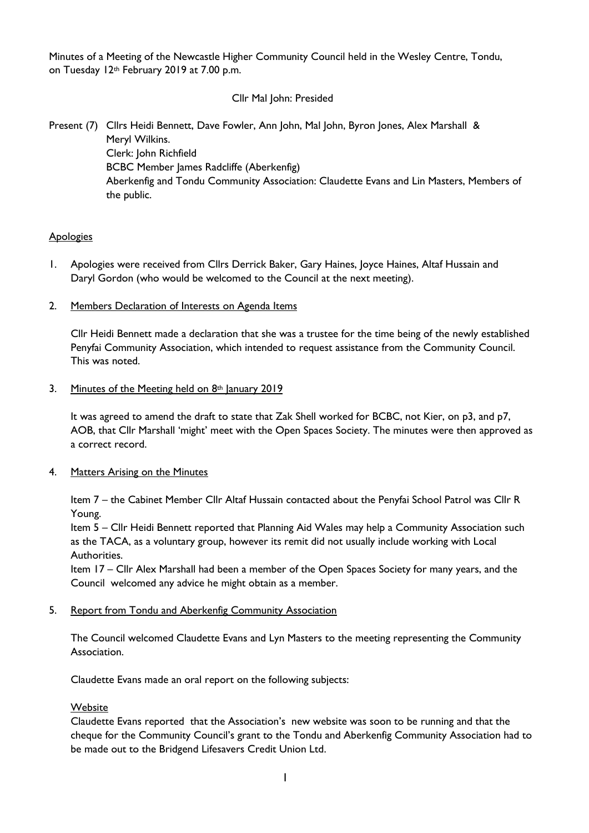Minutes of a Meeting of the Newcastle Higher Community Council held in the Wesley Centre, Tondu, on Tuesday 12<sup>th</sup> February 2019 at 7.00 p.m.

# Cllr Mal John: Presided

Present (7) Cllrs Heidi Bennett, Dave Fowler, Ann John, Mal John, Byron Jones, Alex Marshall & Meryl Wilkins. Clerk: John Richfield BCBC Member James Radcliffe (Aberkenfig) Aberkenfig and Tondu Community Association: Claudette Evans and Lin Masters, Members of the public.

# **Apologies**

- 1. Apologies were received from Cllrs Derrick Baker, Gary Haines, Joyce Haines, Altaf Hussain and Daryl Gordon (who would be welcomed to the Council at the next meeting).
- 2. Members Declaration of Interests on Agenda Items

Cllr Heidi Bennett made a declaration that she was a trustee for the time being of the newly established Penyfai Community Association, which intended to request assistance from the Community Council. This was noted.

## 3. Minutes of the Meeting held on  $8<sup>th</sup>$  January 2019

It was agreed to amend the draft to state that Zak Shell worked for BCBC, not Kier, on p3, and p7, AOB, that Cllr Marshall 'might' meet with the Open Spaces Society. The minutes were then approved as a correct record.

4. Matters Arising on the Minutes

Item 7 – the Cabinet Member Cllr Altaf Hussain contacted about the Penyfai School Patrol was Cllr R Young.

Item 5 – Cllr Heidi Bennett reported that Planning Aid Wales may help a Community Association such as the TACA, as a voluntary group, however its remit did not usually include working with Local Authorities.

Item 17 – Cllr Alex Marshall had been a member of the Open Spaces Society for many years, and the Council welcomed any advice he might obtain as a member.

5. Report from Tondu and Aberkenfig Community Association

The Council welcomed Claudette Evans and Lyn Masters to the meeting representing the Community Association.

Claudette Evans made an oral report on the following subjects:

# **Website**

Claudette Evans reported that the Association's new website was soon to be running and that the cheque for the Community Council's grant to the Tondu and Aberkenfig Community Association had to be made out to the Bridgend Lifesavers Credit Union Ltd.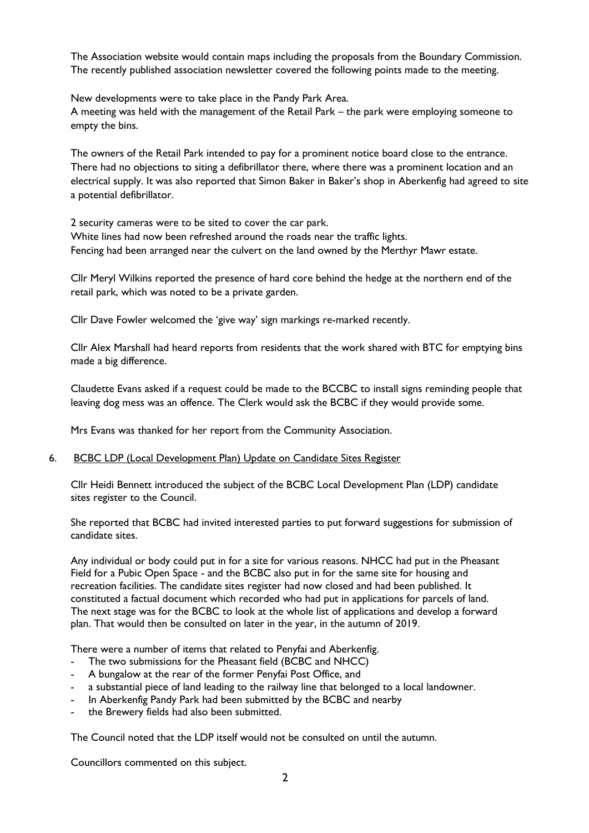The Association website would contain maps including the proposals from the Boundary Commission. The recently published association newsletter covered the following points made to the meeting.

New developments were to take place in the Pandy Park Area.

A meeting was held with the management of the Retail Park – the park were employing someone to empty the bins.

The owners of the Retail Park intended to pay for a prominent notice board close to the entrance. There had no objections to siting a defibrillator there, where there was a prominent location and an electrical supply. It was also reported that Simon Baker in Baker's shop in Aberkenfig had agreed to site a potential defibrillator.

2 security cameras were to be sited to cover the car park. White lines had now been refreshed around the roads near the traffic lights. Fencing had been arranged near the culvert on the land owned by the Merthyr Mawr estate.

Cllr Meryl Wilkins reported the presence of hard core behind the hedge at the northern end of the retail park, which was noted to be a private garden.

Cllr Dave Fowler welcomed the 'give way' sign markings re-marked recently.

Cllr Alex Marshall had heard reports from residents that the work shared with BTC for emptying bins made a big difference.

Claudette Evans asked if a request could be made to the BCCBC to install signs reminding people that leaving dog mess was an offence. The Clerk would ask the BCBC if they would provide some.

Mrs Evans was thanked for her report from the Community Association.

# 6. BCBC LDP (Local Development Plan) Update on Candidate Sites Register

Cllr Heidi Bennett introduced the subject of the BCBC Local Development Plan (LDP) candidate sites register to the Council.

She reported that BCBC had invited interested parties to put forward suggestions for submission of candidate sites.

Any individual or body could put in for a site for various reasons. NHCC had put in the Pheasant Field for a Pubic Open Space - and the BCBC also put in for the same site for housing and recreation facilities. The candidate sites register had now closed and had been published. It constituted a factual document which recorded who had put in applications for parcels of land. The next stage was for the BCBC to look at the whole list of applications and develop a forward plan. That would then be consulted on later in the year, in the autumn of 2019.

There were a number of items that related to Penyfai and Aberkenfig.

- The two submissions for the Pheasant field (BCBC and NHCC)
- A bungalow at the rear of the former Penyfai Post Office, and
- a substantial piece of land leading to the railway line that belonged to a local landowner.
- In Aberkenfig Pandy Park had been submitted by the BCBC and nearby
- the Brewery fields had also been submitted.

The Council noted that the LDP itself would not be consulted on until the autumn.

Councillors commented on this subject.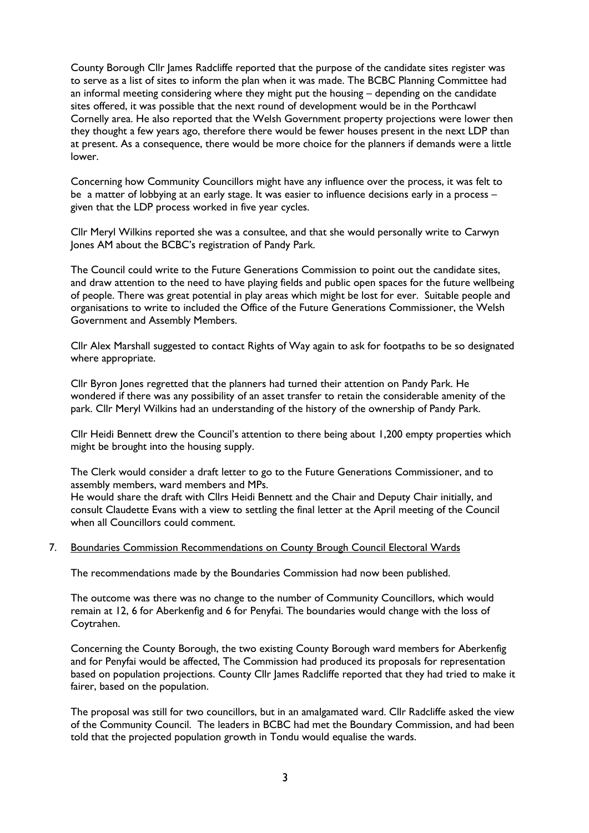County Borough Cllr James Radcliffe reported that the purpose of the candidate sites register was to serve as a list of sites to inform the plan when it was made. The BCBC Planning Committee had an informal meeting considering where they might put the housing – depending on the candidate sites offered, it was possible that the next round of development would be in the Porthcawl Cornelly area. He also reported that the Welsh Government property projections were lower then they thought a few years ago, therefore there would be fewer houses present in the next LDP than at present. As a consequence, there would be more choice for the planners if demands were a little lower.

Concerning how Community Councillors might have any influence over the process, it was felt to be a matter of lobbying at an early stage. It was easier to influence decisions early in a process – given that the LDP process worked in five year cycles.

Cllr Meryl Wilkins reported she was a consultee, and that she would personally write to Carwyn Jones AM about the BCBC's registration of Pandy Park.

The Council could write to the Future Generations Commission to point out the candidate sites, and draw attention to the need to have playing fields and public open spaces for the future wellbeing of people. There was great potential in play areas which might be lost for ever. Suitable people and organisations to write to included the Office of the Future Generations Commissioner, the Welsh Government and Assembly Members.

Cllr Alex Marshall suggested to contact Rights of Way again to ask for footpaths to be so designated where appropriate.

Cllr Byron Jones regretted that the planners had turned their attention on Pandy Park. He wondered if there was any possibility of an asset transfer to retain the considerable amenity of the park. Cllr Meryl Wilkins had an understanding of the history of the ownership of Pandy Park.

Cllr Heidi Bennett drew the Council's attention to there being about 1,200 empty properties which might be brought into the housing supply.

The Clerk would consider a draft letter to go to the Future Generations Commissioner, and to assembly members, ward members and MPs.

He would share the draft with Cllrs Heidi Bennett and the Chair and Deputy Chair initially, and consult Claudette Evans with a view to settling the final letter at the April meeting of the Council when all Councillors could comment.

#### 7. Boundaries Commission Recommendations on County Brough Council Electoral Wards

The recommendations made by the Boundaries Commission had now been published.

The outcome was there was no change to the number of Community Councillors, which would remain at 12, 6 for Aberkenfig and 6 for Penyfai. The boundaries would change with the loss of Coytrahen.

Concerning the County Borough, the two existing County Borough ward members for Aberkenfig and for Penyfai would be affected, The Commission had produced its proposals for representation based on population projections. County Cllr James Radcliffe reported that they had tried to make it fairer, based on the population.

The proposal was still for two councillors, but in an amalgamated ward. Cllr Radcliffe asked the view of the Community Council. The leaders in BCBC had met the Boundary Commission, and had been told that the projected population growth in Tondu would equalise the wards.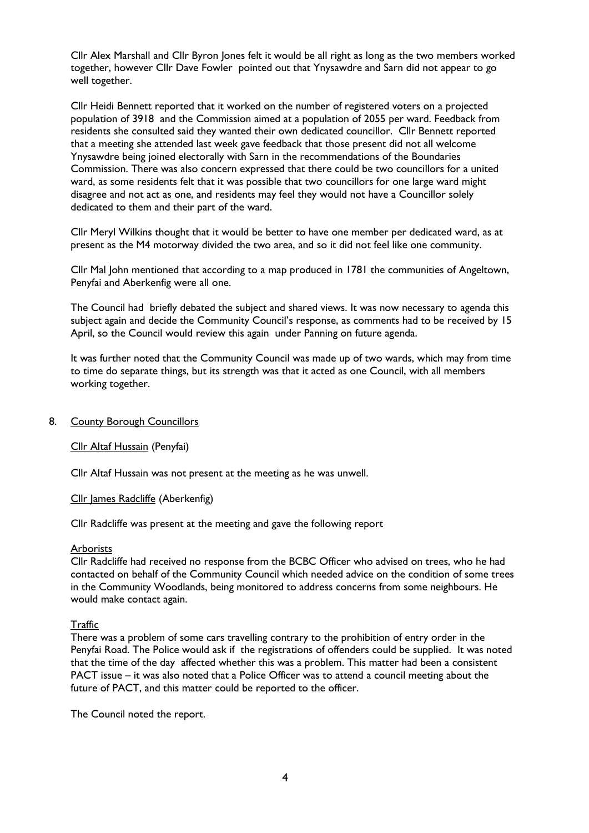Cllr Alex Marshall and Cllr Byron Jones felt it would be all right as long as the two members worked together, however Cllr Dave Fowler pointed out that Ynysawdre and Sarn did not appear to go well together.

Cllr Heidi Bennett reported that it worked on the number of registered voters on a projected population of 3918 and the Commission aimed at a population of 2055 per ward. Feedback from residents she consulted said they wanted their own dedicated councillor. Cllr Bennett reported that a meeting she attended last week gave feedback that those present did not all welcome Ynysawdre being joined electorally with Sarn in the recommendations of the Boundaries Commission. There was also concern expressed that there could be two councillors for a united ward, as some residents felt that it was possible that two councillors for one large ward might disagree and not act as one, and residents may feel they would not have a Councillor solely dedicated to them and their part of the ward.

Cllr Meryl Wilkins thought that it would be better to have one member per dedicated ward, as at present as the M4 motorway divided the two area, and so it did not feel like one community.

Cllr Mal John mentioned that according to a map produced in 1781 the communities of Angeltown, Penyfai and Aberkenfig were all one.

The Council had briefly debated the subject and shared views. It was now necessary to agenda this subject again and decide the Community Council's response, as comments had to be received by 15 April, so the Council would review this again under Panning on future agenda.

It was further noted that the Community Council was made up of two wards, which may from time to time do separate things, but its strength was that it acted as one Council, with all members working together.

#### 8. County Borough Councillors

#### Cllr Altaf Hussain (Penyfai)

Cllr Altaf Hussain was not present at the meeting as he was unwell.

Cllr James Radcliffe (Aberkenfig)

Cllr Radcliffe was present at the meeting and gave the following report

#### **Arborists**

Cllr Radcliffe had received no response from the BCBC Officer who advised on trees, who he had contacted on behalf of the Community Council which needed advice on the condition of some trees in the Community Woodlands, being monitored to address concerns from some neighbours. He would make contact again.

#### **Traffic**

There was a problem of some cars travelling contrary to the prohibition of entry order in the Penyfai Road. The Police would ask if the registrations of offenders could be supplied. It was noted that the time of the day affected whether this was a problem. This matter had been a consistent PACT issue – it was also noted that a Police Officer was to attend a council meeting about the future of PACT, and this matter could be reported to the officer.

The Council noted the report.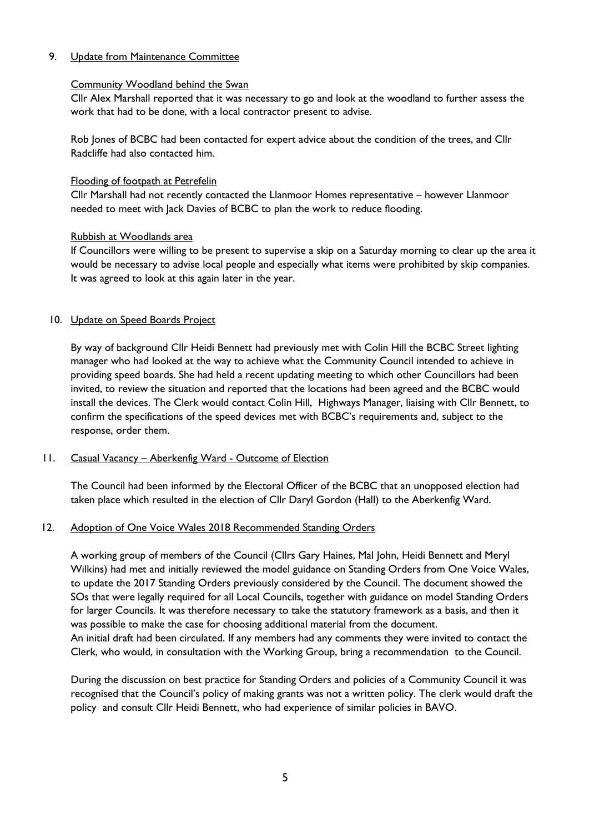## 9. Update from Maintenance Committee

### Community Woodland behind the Swan

Cllr Alex Marshall reported that it was necessary to go and look at the woodland to further assess the work that had to be done, with a local contractor present to advise.

Rob Jones of BCBC had been contacted for expert advice about the condition of the trees, and Cllr Radcliffe had also contacted him.

## Flooding of footpath at Petrefelin

Cllr Marshall had not recently contacted the Llanmoor Homes representative – however Llanmoor needed to meet with Jack Davies of BCBC to plan the work to reduce flooding.

## Rubbish at Woodlands area

If Councillors were willing to be present to supervise a skip on a Saturday morning to clear up the area it would be necessary to advise local people and especially what items were prohibited by skip companies. It was agreed to look at this again later in the year.

# 10. Update on Speed Boards Project

By way of background Cllr Heidi Bennett had previously met with Colin Hill the BCBC Street lighting manager who had looked at the way to achieve what the Community Council intended to achieve in providing speed boards. She had held a recent updating meeting to which other Councillors had been invited, to review the situation and reported that the locations had been agreed and the BCBC would install the devices. The Clerk would contact Colin Hill, Highways Manager, liaising with Cllr Bennett, to confirm the specifications of the speed devices met with BCBC's requirements and, subject to the response, order them.

# 11. Casual Vacancy - Aberkenfig Ward - Outcome of Election

The Council had been informed by the Electoral Officer of the BCBC that an unopposed election had taken place which resulted in the election of Cllr Daryl Gordon (Hall) to the Aberkenfig Ward.

#### 12. Adoption of One Voice Wales 2018 Recommended Standing Orders

A working group of members of the Council (Cllrs Gary Haines, Mal John, Heidi Bennett and Meryl Wilkins) had met and initially reviewed the model guidance on Standing Orders from One Voice Wales, to update the 2017 Standing Orders previously considered by the Council. The document showed the SOs that were legally required for all Local Councils, together with guidance on model Standing Orders for larger Councils. It was therefore necessary to take the statutory framework as a basis, and then it was possible to make the case for choosing additional material from the document. An initial draft had been circulated. If any members had any comments they were invited to contact the Clerk, who would, in consultation with the Working Group, bring a recommendation to the Council.

During the discussion on best practice for Standing Orders and policies of a Community Council it was recognised that the Council's policy of making grants was not a written policy. The clerk would draft the policy and consult Cllr Heidi Bennett, who had experience of similar policies in BAVO.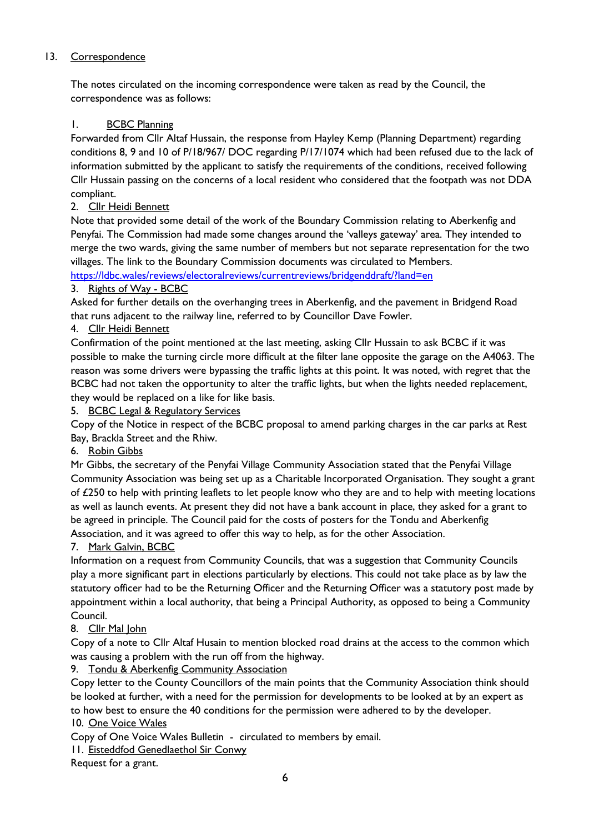# 13. Correspondence

The notes circulated on the incoming correspondence were taken as read by the Council, the correspondence was as follows:

# 1. BCBC Planning

Forwarded from Cllr Altaf Hussain, the response from Hayley Kemp (Planning Department) regarding conditions 8, 9 and 10 of P/18/967/ DOC regarding P/17/1074 which had been refused due to the lack of information submitted by the applicant to satisfy the requirements of the conditions, received following Cllr Hussain passing on the concerns of a local resident who considered that the footpath was not DDA compliant.

2. Cllr Heidi Bennett

Note that provided some detail of the work of the Boundary Commission relating to Aberkenfig and Penyfai. The Commission had made some changes around the 'valleys gateway' area. They intended to merge the two wards, giving the same number of members but not separate representation for the two villages. The link to the Boundary Commission documents was circulated to Members.

<https://ldbc.wales/reviews/electoralreviews/currentreviews/bridgenddraft/?land=en>

# 3. Rights of Way - BCBC

Asked for further details on the overhanging trees in Aberkenfig, and the pavement in Bridgend Road that runs adjacent to the railway line, referred to by Councillor Dave Fowler.

# 4. Cllr Heidi Bennett

Confirmation of the point mentioned at the last meeting, asking Cllr Hussain to ask BCBC if it was possible to make the turning circle more difficult at the filter lane opposite the garage on the A4063. The reason was some drivers were bypassing the traffic lights at this point. It was noted, with regret that the BCBC had not taken the opportunity to alter the traffic lights, but when the lights needed replacement, they would be replaced on a like for like basis.

5. BCBC Legal & Regulatory Services

Copy of the Notice in respect of the BCBC proposal to amend parking charges in the car parks at Rest Bay, Brackla Street and the Rhiw.

# 6. Robin Gibbs

Mr Gibbs, the secretary of the Penyfai Village Community Association stated that the Penyfai Village Community Association was being set up as a Charitable Incorporated Organisation. They sought a grant of £250 to help with printing leaflets to let people know who they are and to help with meeting locations as well as launch events. At present they did not have a bank account in place, they asked for a grant to be agreed in principle. The Council paid for the costs of posters for the Tondu and Aberkenfig Association, and it was agreed to offer this way to help, as for the other Association.

7. Mark Galvin, BCBC

Information on a request from Community Councils, that was a suggestion that Community Councils play a more significant part in elections particularly by elections. This could not take place as by law the statutory officer had to be the Returning Officer and the Returning Officer was a statutory post made by appointment within a local authority, that being a Principal Authority, as opposed to being a Community Council.

# 8. Cllr Mal John

Copy of a note to Cllr Altaf Husain to mention blocked road drains at the access to the common which was causing a problem with the run off from the highway.

# 9. Tondu & Aberkenfig Community Association

Copy letter to the County Councillors of the main points that the Community Association think should be looked at further, with a need for the permission for developments to be looked at by an expert as to how best to ensure the 40 conditions for the permission were adhered to by the developer. 10. One Voice Wales

Copy of One Voice Wales Bulletin - circulated to members by email.

11. Eisteddfod Genedlaethol Sir Conwy

Request for a grant.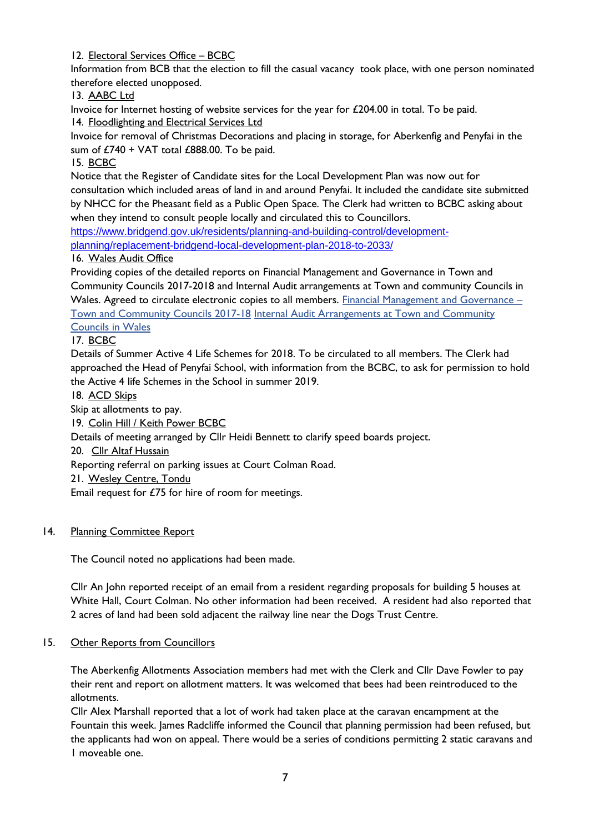12. Electoral Services Office – BCBC

Information from BCB that the election to fill the casual vacancy took place, with one person nominated therefore elected unopposed.

13. AABC Ltd

Invoice for Internet hosting of website services for the year for £204.00 in total. To be paid. 14. Floodlighting and Electrical Services Ltd

Invoice for removal of Christmas Decorations and placing in storage, for Aberkenfig and Penyfai in the sum of  $£740 + VAT$  total  $£888.00$ . To be paid.

15. BCBC

Notice that the Register of Candidate sites for the Local Development Plan was now out for consultation which included areas of land in and around Penyfai. It included the candidate site submitted by NHCC for the Pheasant field as a Public Open Space. The Clerk had written to BCBC asking about when they intend to consult people locally and circulated this to Councillors.

[https://www.bridgend.gov.uk/residents/planning-and-building-control/development](https://www.bridgend.gov.uk/residents/planning-and-building-control/development-planning/replacement-bridgend-local-development-plan-2018-to-2033/)[planning/replacement-bridgend-local-development-plan-2018-to-2033/](https://www.bridgend.gov.uk/residents/planning-and-building-control/development-planning/replacement-bridgend-local-development-plan-2018-to-2033/)

# 16. Wales Audit Office

Providing copies of the detailed reports on Financial Management and Governance in Town and Community Councils 2017-2018 and Internal Audit arrangements at Town and community Councils in Wales. Agreed to circulate electronic copies to all members. [Financial Management and Governance](https://www.audit.wales/publication/financial-management-and-governance-town-and-community-councils-2017-18) -[Town and Community Councils 2017-18](https://www.audit.wales/publication/financial-management-and-governance-town-and-community-councils-2017-18) [Internal Audit Arrangements at Town and Community](https://www.audit.wales/publication/internal-audit-arrangements-town-and-community-councils-wales)  [Councils in Wales](https://www.audit.wales/publication/internal-audit-arrangements-town-and-community-councils-wales)

# 17. BCBC

Details of Summer Active 4 Life Schemes for 2018. To be circulated to all members. The Clerk had approached the Head of Penyfai School, with information from the BCBC, to ask for permission to hold the Active 4 life Schemes in the School in summer 2019.

18. ACD Skips

Skip at allotments to pay.

19. Colin Hill / Keith Power BCBC

Details of meeting arranged by Cllr Heidi Bennett to clarify speed boards project.

20. Cllr Altaf Hussain

Reporting referral on parking issues at Court Colman Road.

21. Wesley Centre, Tondu

Email request for £75 for hire of room for meetings.

# 14. Planning Committee Report

The Council noted no applications had been made.

Cllr An John reported receipt of an email from a resident regarding proposals for building 5 houses at White Hall, Court Colman. No other information had been received. A resident had also reported that 2 acres of land had been sold adjacent the railway line near the Dogs Trust Centre.

# 15. Other Reports from Councillors

The Aberkenfig Allotments Association members had met with the Clerk and Cllr Dave Fowler to pay their rent and report on allotment matters. It was welcomed that bees had been reintroduced to the allotments.

Cllr Alex Marshall reported that a lot of work had taken place at the caravan encampment at the Fountain this week. James Radcliffe informed the Council that planning permission had been refused, but the applicants had won on appeal. There would be a series of conditions permitting 2 static caravans and 1 moveable one.